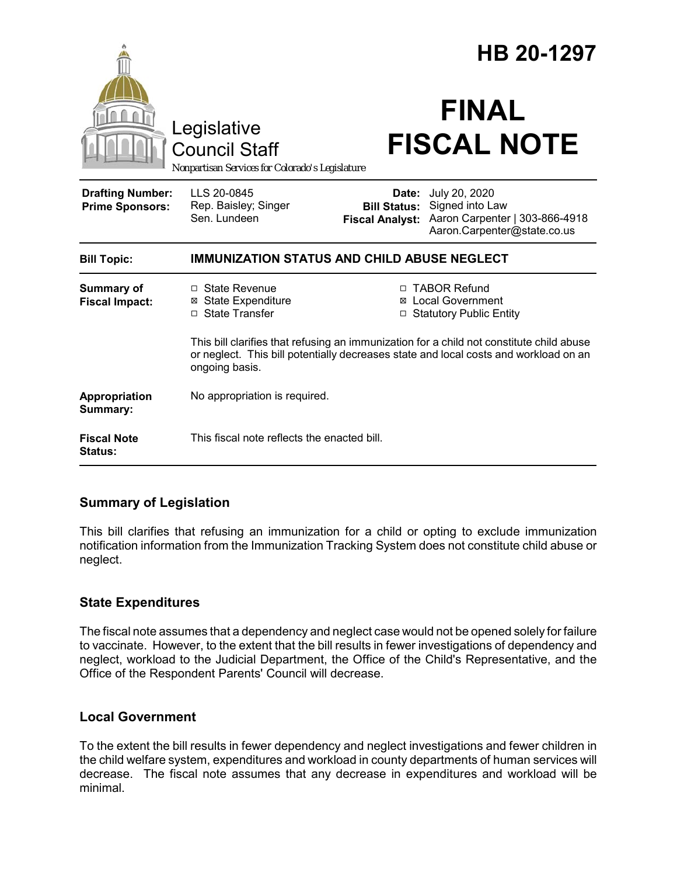|                                                                                        |                                                                                                                                                                                                    |                                                        | HB 20-1297                                                                                        |  |
|----------------------------------------------------------------------------------------|----------------------------------------------------------------------------------------------------------------------------------------------------------------------------------------------------|--------------------------------------------------------|---------------------------------------------------------------------------------------------------|--|
| Legislative<br><b>Council Staff</b><br>Nonpartisan Services for Colorado's Legislature |                                                                                                                                                                                                    | <b>FINAL</b><br><b>FISCAL NOTE</b>                     |                                                                                                   |  |
| <b>Drafting Number:</b><br><b>Prime Sponsors:</b>                                      | LLS 20-0845<br>Rep. Baisley; Singer<br>Sen. Lundeen                                                                                                                                                | Date:<br><b>Bill Status:</b><br><b>Fiscal Analyst:</b> | July 20, 2020<br>Signed into Law<br>Aaron Carpenter   303-866-4918<br>Aaron.Carpenter@state.co.us |  |
| <b>Bill Topic:</b>                                                                     | <b>IMMUNIZATION STATUS AND CHILD ABUSE NEGLECT</b>                                                                                                                                                 |                                                        |                                                                                                   |  |
| <b>Summary of</b><br><b>Fiscal Impact:</b>                                             | □ State Revenue<br><b>⊠</b> State Expenditure<br>□ State Transfer                                                                                                                                  | □                                                      | □ TABOR Refund<br>⊠ Local Government<br><b>Statutory Public Entity</b>                            |  |
|                                                                                        | This bill clarifies that refusing an immunization for a child not constitute child abuse<br>or neglect. This bill potentially decreases state and local costs and workload on an<br>ongoing basis. |                                                        |                                                                                                   |  |
| Appropriation<br>Summary:                                                              | No appropriation is required.                                                                                                                                                                      |                                                        |                                                                                                   |  |
| <b>Fiscal Note</b><br><b>Status:</b>                                                   | This fiscal note reflects the enacted bill.                                                                                                                                                        |                                                        |                                                                                                   |  |

## **Summary of Legislation**

This bill clarifies that refusing an immunization for a child or opting to exclude immunization notification information from the Immunization Tracking System does not constitute child abuse or neglect.

## **State Expenditures**

The fiscal note assumes that a dependency and neglect case would not be opened solely for failure to vaccinate. However, to the extent that the bill results in fewer investigations of dependency and neglect, workload to the Judicial Department, the Office of the Child's Representative, and the Office of the Respondent Parents' Council will decrease.

## **Local Government**

To the extent the bill results in fewer dependency and neglect investigations and fewer children in the child welfare system, expenditures and workload in county departments of human services will decrease. The fiscal note assumes that any decrease in expenditures and workload will be minimal.